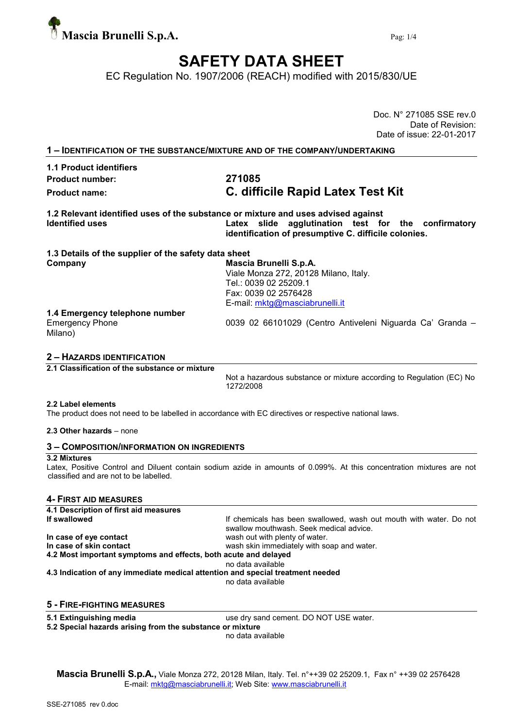

Doc. N° 271085 SSE rev.0

# SAFETY DATA SHEET

EC Regulation No. 1907/2006 (REACH) modified with 2015/830/UE

|                                                                                                             | Date of Revision:                                                                                                                                  |
|-------------------------------------------------------------------------------------------------------------|----------------------------------------------------------------------------------------------------------------------------------------------------|
|                                                                                                             | Date of issue: 22-01-2017                                                                                                                          |
|                                                                                                             | 1 - IDENTIFICATION OF THE SUBSTANCE/MIXTURE AND OF THE COMPANY/UNDERTAKING                                                                         |
| 1.1 Product identifiers                                                                                     |                                                                                                                                                    |
| <b>Product number:</b>                                                                                      | 271085                                                                                                                                             |
| <b>Product name:</b>                                                                                        | C. difficile Rapid Latex Test Kit                                                                                                                  |
| 1.2 Relevant identified uses of the substance or mixture and uses advised against<br><b>Identified uses</b> | Latex slide agglutination test for the confirmatory<br>identification of presumptive C. difficile colonies.                                        |
| 1.3 Details of the supplier of the safety data sheet                                                        |                                                                                                                                                    |
| Company                                                                                                     | Mascia Brunelli S.p.A.<br>Viale Monza 272, 20128 Milano, Italy.<br>Tel.: 0039 02 25209.1<br>Fax: 0039 02 2576428<br>E-mail: mktg@masciabrunelli.it |
| 1.4 Emergency telephone number                                                                              |                                                                                                                                                    |
| <b>Emergency Phone</b><br>Milano)                                                                           | 0039 02 66101029 (Centro Antiveleni Niguarda Ca' Granda -                                                                                          |
| 2 - HAZARDS IDENTIFICATION                                                                                  |                                                                                                                                                    |
| 2.1 Classification of the substance or mixture                                                              |                                                                                                                                                    |
|                                                                                                             | Not a hazardous substance or mixture according to Regulation (EC) No<br>1272/2008                                                                  |

#### 2.2 Label elements

The product does not need to be labelled in accordance with EC directives or respective national laws.

## 2.3 Other hazards – none

#### 3 – COMPOSITION/INFORMATION ON INGREDIENTS

### 3.2 Mixtures

Latex, Positive Control and Diluent contain sodium azide in amounts of 0.099%. At this concentration mixtures are not classified and are not to be labelled.

## 4- FIRST AID MEASURES

| 4.1 Description of first aid measures                                          |                                                                                                               |
|--------------------------------------------------------------------------------|---------------------------------------------------------------------------------------------------------------|
| If swallowed                                                                   | If chemicals has been swallowed, wash out mouth with water. Do not<br>swallow mouthwash. Seek medical advice. |
| In case of eye contact                                                         | wash out with plenty of water.                                                                                |
| In case of skin contact                                                        | wash skin immediately with soap and water.                                                                    |
| 4.2 Most important symptoms and effects, both acute and delayed                |                                                                                                               |
|                                                                                | no data available                                                                                             |
| 4.3 Indication of any immediate medical attention and special treatment needed |                                                                                                               |
|                                                                                | no data available                                                                                             |
|                                                                                |                                                                                                               |

### 5 - FIRE-FIGHTING MEASURES

5.1 Extinguishing media use dry sand cement. DO NOT USE water.

5.2 Special hazards arising from the substance or mixture

no data available

Mascia Brunelli S.p.A., Viale Monza 272, 20128 Milan, Italy. Tel. n°++39 02 25209.1, Fax n° ++39 02 2576428 E-mail: mktg@masciabrunelli.it; Web Site: www.masciabrunelli.it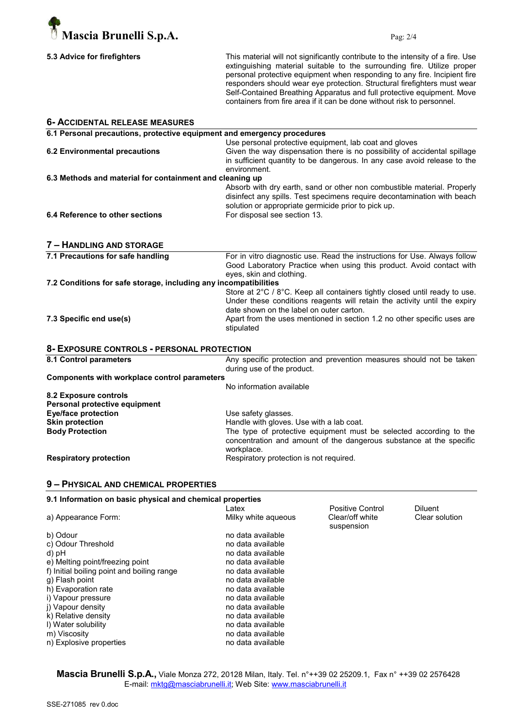

|  |  | 5.3 Advice for firefighters |  |
|--|--|-----------------------------|--|
|--|--|-----------------------------|--|

This material will not significantly contribute to the intensity of a fire. Use extinguishing material suitable to the surrounding fire. Utilize proper personal protective equipment when responding to any fire. Incipient fire responders should wear eye protection. Structural firefighters must wear Self-Contained Breathing Apparatus and full protective equipment. Move containers from fire area if it can be done without risk to personnel.

| <b>6- ACCIDENTAL RELEASE MEASURES</b>                                   |                                                                                                                                                                                                                                                                                              |                  |                       |
|-------------------------------------------------------------------------|----------------------------------------------------------------------------------------------------------------------------------------------------------------------------------------------------------------------------------------------------------------------------------------------|------------------|-----------------------|
| 6.1 Personal precautions, protective equipment and emergency procedures |                                                                                                                                                                                                                                                                                              |                  |                       |
| <b>6.2 Environmental precautions</b>                                    | Use personal protective equipment, lab coat and gloves<br>Given the way dispensation there is no possibility of accidental spillage<br>in sufficient quantity to be dangerous. In any case avoid release to the<br>environment.                                                              |                  |                       |
| 6.3 Methods and material for containment and cleaning up                |                                                                                                                                                                                                                                                                                              |                  |                       |
| 6.4 Reference to other sections                                         | Absorb with dry earth, sand or other non combustible material. Properly<br>disinfect any spills. Test specimens require decontamination with beach<br>solution or appropriate germicide prior to pick up.<br>For disposal see section 13.                                                    |                  |                       |
| 7 - HANDLING AND STORAGE                                                |                                                                                                                                                                                                                                                                                              |                  |                       |
| 7.1 Precautions for safe handling                                       | For in vitro diagnostic use. Read the instructions for Use. Always follow<br>Good Laboratory Practice when using this product. Avoid contact with<br>eyes, skin and clothing.                                                                                                                |                  |                       |
| 7.2 Conditions for safe storage, including any incompatibilities        |                                                                                                                                                                                                                                                                                              |                  |                       |
| 7.3 Specific end use(s)                                                 | Store at 2°C / 8°C. Keep all containers tightly closed until ready to use.<br>Under these conditions reagents will retain the activity until the expiry<br>date shown on the label on outer carton.<br>Apart from the uses mentioned in section 1.2 no other specific uses are<br>stipulated |                  |                       |
| 8- EXPOSURE CONTROLS - PERSONAL PROTECTION                              |                                                                                                                                                                                                                                                                                              |                  |                       |
| 8.1 Control parameters                                                  | Any specific protection and prevention measures should not be taken<br>during use of the product.                                                                                                                                                                                            |                  |                       |
| Components with workplace control parameters                            | No information available                                                                                                                                                                                                                                                                     |                  |                       |
| 8.2 Exposure controls                                                   |                                                                                                                                                                                                                                                                                              |                  |                       |
| Personal protective equipment                                           |                                                                                                                                                                                                                                                                                              |                  |                       |
| <b>Eye/face protection</b><br><b>Skin protection</b>                    | Use safety glasses.                                                                                                                                                                                                                                                                          |                  |                       |
| <b>Body Protection</b>                                                  | Handle with gloves. Use with a lab coat.<br>The type of protective equipment must be selected according to the<br>concentration and amount of the dangerous substance at the specific<br>workplace.                                                                                          |                  |                       |
| <b>Respiratory protection</b>                                           | Respiratory protection is not required.                                                                                                                                                                                                                                                      |                  |                       |
| 9 - PHYSICAL AND CHEMICAL PROPERTIES                                    |                                                                                                                                                                                                                                                                                              |                  |                       |
| 9.1 Information on basic physical and chemical properties               | Latex                                                                                                                                                                                                                                                                                        | Positive Control | Diluent               |
| a) Annograpes Fermi                                                     | Millauwhite coucous                                                                                                                                                                                                                                                                          | $Clapchff$ white | $Cback$ and $\ddotsc$ |

a) Appearance Form: Milky white aqueous Clear/off white Clear solution suspension b) Odour<br>
c) Odour Threshold<br>
c) Odour Threshold<br>
ino data available c) Odour Threshold<br>d) pH no data available<br>no data available e) Melting point/freezing point no data available<br>
f) Initial boiling point and boiling range no data available f) Initial boiling point and boiling range<br>g) Flash point no data available h) Evaporation rate no data available<br>i) Vapour pressure no data available i) Vapour pressure no data available<br>i) Vapour density no data available j) Vapour density<br>
k) Relative density<br>
ho data available k) Relative density I) Water solubility and the solubility no data available m) Viscosity and Contract the Contract of the Contract of the Contract of the Contract of the Contract of the Contract of the Contract of the Contract of the Contract of the Contract of the Contract of the Contract of the n) Explosive properties no data available

Mascia Brunelli S.p.A., Viale Monza 272, 20128 Milan, Italy. Tel. n°++39 02 25209.1, Fax n° ++39 02 2576428 E-mail: mktg@masciabrunelli.it; Web Site: www.masciabrunelli.it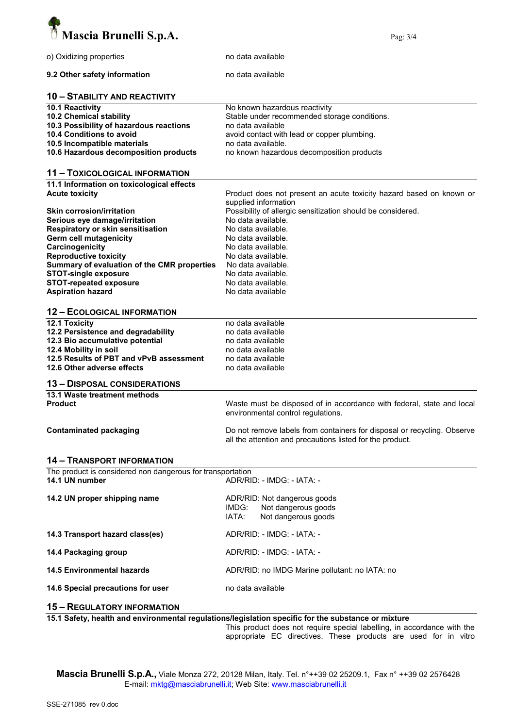

| o) Oxidizing properties                                    | no data available                                                                                   |  |  |
|------------------------------------------------------------|-----------------------------------------------------------------------------------------------------|--|--|
| 9.2 Other safety information                               | no data available                                                                                   |  |  |
| <b>10 - STABILITY AND REACTIVITY</b>                       |                                                                                                     |  |  |
| 10.1 Reactivity                                            | No known hazardous reactivity                                                                       |  |  |
|                                                            |                                                                                                     |  |  |
| 10.2 Chemical stability                                    | Stable under recommended storage conditions.                                                        |  |  |
| 10.3 Possibility of hazardous reactions                    | no data available                                                                                   |  |  |
| 10.4 Conditions to avoid                                   | avoid contact with lead or copper plumbing.                                                         |  |  |
| 10.5 Incompatible materials                                | no data available.                                                                                  |  |  |
| 10.6 Hazardous decomposition products                      |                                                                                                     |  |  |
|                                                            | no known hazardous decomposition products                                                           |  |  |
| <b>11 - TOXICOLOGICAL INFORMATION</b>                      |                                                                                                     |  |  |
| 11.1 Information on toxicological effects                  |                                                                                                     |  |  |
| <b>Acute toxicity</b>                                      | Product does not present an acute toxicity hazard based on known or                                 |  |  |
|                                                            | supplied information                                                                                |  |  |
|                                                            |                                                                                                     |  |  |
| <b>Skin corrosion/irritation</b>                           | Possibility of allergic sensitization should be considered.                                         |  |  |
| Serious eye damage/irritation                              | No data available.                                                                                  |  |  |
| Respiratory or skin sensitisation                          | No data available.                                                                                  |  |  |
| <b>Germ cell mutagenicity</b>                              | No data available.                                                                                  |  |  |
| Carcinogenicity                                            | No data available.                                                                                  |  |  |
|                                                            |                                                                                                     |  |  |
| <b>Reproductive toxicity</b>                               | No data available.                                                                                  |  |  |
| Summary of evaluation of the CMR properties                | No data available.                                                                                  |  |  |
| <b>STOT-single exposure</b>                                | No data available.                                                                                  |  |  |
| <b>STOT-repeated exposure</b>                              | No data available.                                                                                  |  |  |
| <b>Aspiration hazard</b>                                   | No data available                                                                                   |  |  |
|                                                            |                                                                                                     |  |  |
| <b>12 - ECOLOGICAL INFORMATION</b>                         |                                                                                                     |  |  |
| 12.1 Toxicity                                              | no data available                                                                                   |  |  |
|                                                            |                                                                                                     |  |  |
| 12.2 Persistence and degradability                         | no data available                                                                                   |  |  |
| 12.3 Bio accumulative potential                            | no data available                                                                                   |  |  |
| 12.4 Mobility in soil                                      | no data available                                                                                   |  |  |
| 12.5 Results of PBT and vPvB assessment                    | no data available                                                                                   |  |  |
| 12.6 Other adverse effects                                 | no data available                                                                                   |  |  |
|                                                            |                                                                                                     |  |  |
| <b>13 - DISPOSAL CONSIDERATIONS</b>                        |                                                                                                     |  |  |
| 13.1 Waste treatment methods                               |                                                                                                     |  |  |
| <b>Product</b>                                             | Waste must be disposed of in accordance with federal, state and local                               |  |  |
|                                                            | environmental control regulations.                                                                  |  |  |
|                                                            |                                                                                                     |  |  |
| <b>Contaminated packaging</b>                              | Do not remove labels from containers for disposal or recycling. Observe                             |  |  |
|                                                            | all the attention and precautions listed for the product.                                           |  |  |
| <b>14 - TRANSPORT INFORMATION</b>                          |                                                                                                     |  |  |
| The product is considered non dangerous for transportation |                                                                                                     |  |  |
|                                                            |                                                                                                     |  |  |
| 14.1 UN number                                             | ADR/RID: - IMDG: - IATA: -                                                                          |  |  |
|                                                            |                                                                                                     |  |  |
| 14.2 UN proper shipping name                               | ADR/RID: Not dangerous goods                                                                        |  |  |
|                                                            | Not dangerous goods<br>IMDG:                                                                        |  |  |
|                                                            | IATA:<br>Not dangerous goods                                                                        |  |  |
|                                                            |                                                                                                     |  |  |
| 14.3 Transport hazard class(es)                            | ADR/RID: - IMDG: - IATA: -                                                                          |  |  |
|                                                            |                                                                                                     |  |  |
| 14.4 Packaging group                                       | ADR/RID: - IMDG: - IATA: -                                                                          |  |  |
|                                                            |                                                                                                     |  |  |
| <b>14.5 Environmental hazards</b>                          | ADR/RID: no IMDG Marine pollutant: no IATA: no                                                      |  |  |
|                                                            | no data available                                                                                   |  |  |
| 14.6 Special precautions for user                          |                                                                                                     |  |  |
| <b>15 - REGULATORY INFORMATION</b>                         |                                                                                                     |  |  |
|                                                            | 15.1 Safety, health and environmental requistions/legislation specific for the substance or mixture |  |  |

15.1 Safety, health and environmental regulations/legislation specific for the substance or mixture

This product does not require special labelling, in accordance with the appropriate EC directives. These products are used for in vitro

Mascia Brunelli S.p.A., Viale Monza 272, 20128 Milan, Italy. Tel. n°++39 02 25209.1, Fax n° ++39 02 2576428 E-mail: mktg@masciabrunelli.it; Web Site: www.masciabrunelli.it